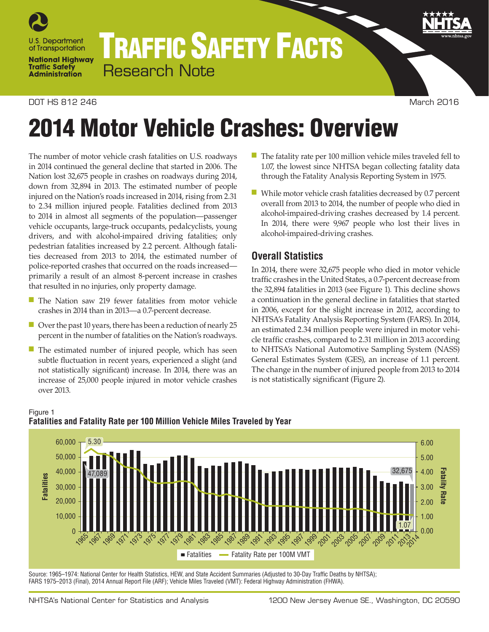

# TRAFFIC SAFETY FACTS Research Note

## DOT HS 812 246 March 2016

# 2014 Motor Vehicle Crashes: Overview

The number of motor vehicle crash fatalities on U.S. roadways in 2014 continued the general decline that started in 2006. The Nation lost 32,675 people in crashes on roadways during 2014, down from 32,894 in 2013. The estimated number of people injured on the Nation's roads increased in 2014, rising from 2.31 to 2.34 million injured people. Fatalities declined from 2013 to 2014 in almost all segments of the population—passenger vehicle occupants, large-truck occupants, pedalcyclists, young drivers, and with alcohol-impaired driving fatalities; only pedestrian fatalities increased by 2.2 percent. Although fatalities decreased from 2013 to 2014, the estimated number of police-reported crashes that occurred on the roads increased primarily a result of an almost 8-percent increase in crashes that resulted in no injuries, only property damage.

- The Nation saw 219 fewer fatalities from motor vehicle crashes in 2014 than in 2013—a 0.7-percent decrease.
- Over the past 10 years, there has been a reduction of nearly 25 percent in the number of fatalities on the Nation's roadways.
- The estimated number of injured people, which has seen subtle fluctuation in recent years, experienced a slight (and not statistically significant) increase. In 2014, there was an increase of 25,000 people injured in motor vehicle crashes over 2013.
- The fatality rate per 100 million vehicle miles traveled fell to 1.07, the lowest since NHTSA began collecting fatality data through the Fatality Analysis Reporting System in 1975.
- While motor vehicle crash fatalities decreased by 0.7 percent overall from 2013 to 2014, the number of people who died in alcohol-impaired-driving crashes decreased by 1.4 percent. In 2014, there were 9,967 people who lost their lives in alcohol-impaired-driving crashes.

# **Overall Statistics**

In 2014, there were 32,675 people who died in motor vehicle traffic crashes in the United States, a 0.7-percent decrease from the 32,894 fatalities in 2013 (see Figure 1). This decline shows a continuation in the general decline in fatalities that started in 2006, except for the slight increase in 2012, according to NHTSA's Fatality Analysis Reporting System (FARS). In 2014, an estimated 2.34 million people were injured in motor vehicle traffic crashes, compared to 2.31 million in 2013 according to NHTSA's National Automotive Sampling System (NASS) General Estimates System (GES), an increase of 1.1 percent. The change in the number of injured people from 2013 to 2014 is not statistically significant (Figure 2).



#### Figure 1 **Fatalities and Fatality Rate per 100 Million Vehicle Miles Traveled by Year**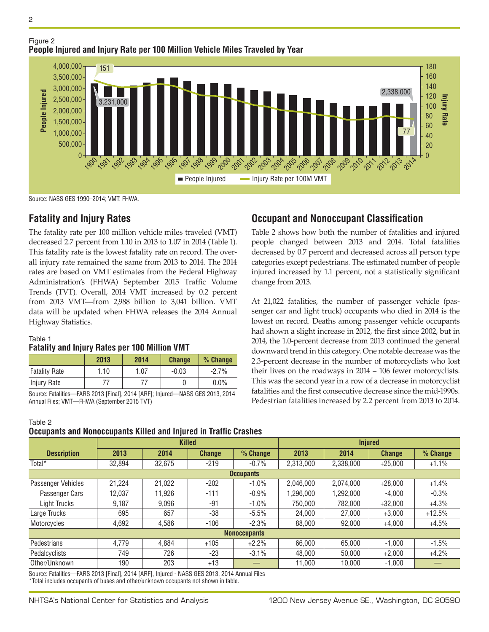



# **Fatality and Injury Rates**

The fatality rate per 100 million vehicle miles traveled (VMT) decreased 2.7 percent from 1.10 in 2013 to 1.07 in 2014 (Table 1). This fatality rate is the lowest fatality rate on record. The overall injury rate remained the same from 2013 to 2014. The 2014 rates are based on VMT estimates from the Federal Highway Administration's (FHWA) September 2015 Traffic Volume Trends (TVT). Overall, 2014 VMT increased by 0.2 percent from 2013 VMT—from 2,988 billion to 3,041 billion. VMT data will be updated when FHWA releases the 2014 Annual Highway Statistics.

### Table 1

Table 2

### **Fatality and Injury Rates per 100 Million VMT**

|                      | 2013 | 2014 | <b>Change</b> | $%$ Change |  |
|----------------------|------|------|---------------|------------|--|
| <b>Fatality Rate</b> | 1.10 | 1.07 | $-0.03$       | $-2.7%$    |  |
| Injury Rate          | 77   |      |               | $0.0\%$    |  |

Source: Fatalities—FARS 2013 [Final], 2014 [ARF]; Injured—NASS GES 2013, 2014 Annual Files; VMT—FHWA (September 2015 TVT)

**Occupants and Nonoccupants Killed and Injured in Traffic Crashes**

# **Occupant and Nonoccupant Classification**

Table 2 shows how both the number of fatalities and injured people changed between 2013 and 2014. Total fatalities decreased by 0.7 percent and decreased across all person type categories except pedestrians. The estimated number of people injured increased by 1.1 percent, not a statistically significant change from 2013.

At 21,022 fatalities, the number of passenger vehicle (passenger car and light truck) occupants who died in 2014 is the lowest on record. Deaths among passenger vehicle occupants had shown a slight increase in 2012, the first since 2002, but in 2014, the 1.0-percent decrease from 2013 continued the general downward trend in this category. One notable decrease was the 2.3-percent decrease in the number of motorcyclists who lost their lives on the roadways in 2014 – 106 fewer motorcyclists. This was the second year in a row of a decrease in motorcyclist fatalities and the first consecutive decrease since the mid-1990s. Pedestrian fatalities increased by 2.2 percent from 2013 to 2014.

### **Description Killed Injured 2013 2014 Change % Change 2013 2014 Change % Change** Total\* 32,894 32,675 -219 -0.7% 2,313,000 2,338,000 +25,000 +1.1% **Occupants** Passenger Vehicles 21,224 21,022 -202 -1.0% 2,046,000 2,074,000 +28,000 +1.4% Passenger Cars | 12,037 | 11,926 | -111 | -0.9% | 1,296,000 | 1,292,000 | -4,000 | -0.3% Light Trucks | 9,187 | 9,096 | -91 | -1.0% | 750,000 | 782,000 | +32,000 | +4.3% Large Trucks | 695 | 657 | -38 | -5.5% | 24,000 | 27,000 | +3,000 | +12.5% Motorcycles 4,692 4,586 -106 -2.3% 88,000 92,000 +4,000 +4.5% **Nonoccupants** Pedestrians | 4,779 | 4,884 | +105 | +2.2% | 66,000 | 65,000 | -1,000 | -1.5% Pedalcyclists | 749 | 726 | -23 | -3.1% | 48,000 | 50,000 | +2,000 | +4.2% Other/Unknown | 190 | 203 | +13 | — | 11,000 | 10,000 | -1,000 | —

Source: Fatalities—FARS 2013 [Final], 2014 [ARF], Injured - NASS GES 2013, 2014 Annual Files \*Total includes occupants of buses and other/unknown occupants not shown in table.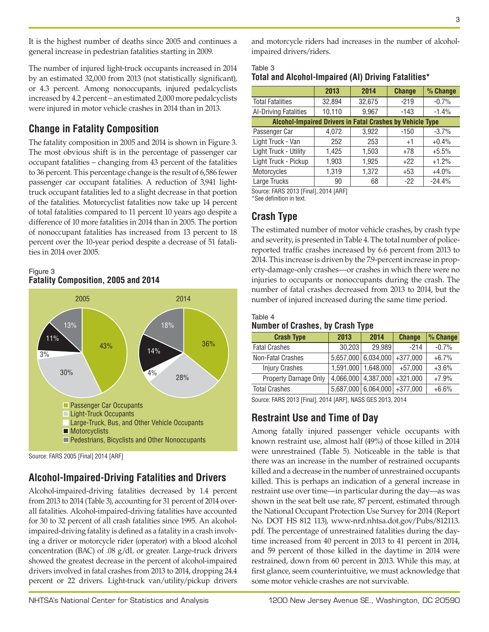It is the highest number of deaths since 2005 and continues a general increase in pedestrian fatalities starting in 2009.

The number of injured light-truck occupants increased in 2014 by an estimated 32,000 from 2013 (not statistically significant), or 4.3 percent. Among nonoccupants, injured pedalcyclists increased by 4.2 percent – an estimated 2,000 more pedalcyclists were injured in motor vehicle crashes in 2014 than in 2013.

## **Change in Fatality Composition**

The fatality composition in 2005 and 2014 is shown in Figure 3. The most obvious shift is in the percentage of passenger car occupant fatalities – changing from 43 percent of the fatalities to 36 percent. This percentage change is the result of 6,586 fewer passenger car occupant fatalities. A reduction of 3,941 lighttruck occupant fatalities led to a slight decrease in that portion of the fatalities. Motorcyclist fatalities now take up 14 percent of total fatalities compared to 11 percent 10 years ago despite a difference of 10 more fatalities in 2014 than in 2005. The portion of nonoccupant fatalities has increased from 13 percent to 18 percent over the 10-year period despite a decrease of 51 fatalities in 2014 over 2005.

## Figure 3 **Fatality Composition, 2005 and 2014**



Source: FARS 2005 [Final] 2014 [ARF]

## **Alcohol-Impaired-Driving Fatalities and Drivers**

Alcohol-impaired-driving fatalities decreased by 1.4 percent from 2013 to 2014 (Table 3), accounting for 31 percent of 2014 overall fatalities. Alcohol-impaired-driving fatalities have accounted for 30 to 32 percent of all crash fatalities since 1995. An alcoholimpaired-driving fatality is defined as a fatality in a crash involving a driver or motorcycle rider (operator) with a blood alcohol concentration (BAC) of .08 g/dL or greater. Large-truck drivers showed the greatest decrease in the percent of alcohol-impaired drivers involved in fatal crashes from 2013 to 2014, dropping 24.4 percent or 22 drivers. Light-truck van/utility/pickup drivers

and motorcycle riders had increases in the number of alcoholimpaired drivers/riders.

## Table 3 **Total and Alcohol-Impaired (AI) Driving Fatalities\***

|                                                                  | 2013             | 2014  | <b>Change</b> | % Change |  |
|------------------------------------------------------------------|------------------|-------|---------------|----------|--|
| <b>Total Fatalities</b>                                          | 32,894<br>32,675 |       | $-219$        | $-0.7%$  |  |
| Al-Driving Fatalities                                            | 10,110           | 9,967 | $-143$        | $-1.4%$  |  |
| <b>Alcohol-Impaired Drivers in Fatal Crashes by Vehicle Type</b> |                  |       |               |          |  |
| Passenger Car                                                    | 4,072            | 3,922 | $-150$        | $-3.7%$  |  |
| Light Truck - Van                                                | 252              | 253   | $+1$          | $+0.4%$  |  |
| Light Truck - Utility                                            | 1.425            | 1,503 | $+78$         | $+5.5%$  |  |
| Light Truck - Pickup                                             | 1,903            | 1,925 | $+22$         | $+1.2%$  |  |
| Motorcycles                                                      | 1,319            | 1,372 | $+53$         | $+4.0%$  |  |
| Large Trucks                                                     | 90               | 68    | $-22$         | $-24.4%$ |  |

Source: FARS 2013 [Final], 2014 [ARF]

\*See definition in text.

# **Crash Type**

The estimated number of motor vehicle crashes, by crash type and severity, is presented in Table 4. The total number of policereported traffic crashes increased by 6.6 percent from 2013 to 2014. This increase is driven by the 7.9-percent increase in property-damage-only crashes—or crashes in which there were no injuries to occupants or nonoccupants during the crash. The number of fatal crashes decreased from 2013 to 2014, but the number of injured increased during the same time period.

## Table 4 **Number of Crashes, by Crash Type**

| <b>Crash Type</b>     | 2013   | 2014                            | <b>Change</b> | % Change |
|-----------------------|--------|---------------------------------|---------------|----------|
| <b>Fatal Crashes</b>  | 30,203 | 29,989                          | $-214$        | $-0.7%$  |
| Non-Fatal Crashes     |        | $5,657,000$ 6,034,000 + 377,000 |               | $+6.7%$  |
| <b>Injury Crashes</b> |        | 1,591,000 1,648,000             | $+57,000$     | $+3.6%$  |
| Property Damage Only  |        | 4,066,000 4,387,000 + 321,000   |               | $+7.9%$  |
| <b>Total Crashes</b>  |        | 5,687,000 6,064,000 + 377,000   |               | $+6.6%$  |

Source: FARS 2013 [Final], 2014 [ARF], NASS GES 2013, 2014

# **Restraint Use and Time of Day**

Among fatally injured passenger vehicle occupants with known restraint use, almost half (49%) of those killed in 2014 were unrestrained (Table 5). Noticeable in the table is that there was an increase in the number of restrained occupants killed and a decrease in the number of unrestrained occupants killed. This is perhaps an indication of a general increase in restraint use over time—in particular during the day—as was shown in the seat belt use rate, 87 percent, estimated through the [National Occupant Protection Use Survey for 2014 \(Report](http://www-nrd.nhtsa.dot.gov/Pubs/812113.pdf)  [No. DOT HS 812 113\), www-nrd.nhtsa.dot.gov/Pubs/812113.](http://www-nrd.nhtsa.dot.gov/Pubs/812113.pdf) [pdf. T](http://www-nrd.nhtsa.dot.gov/Pubs/812113.pdf)he percentage of unrestrained fatalities during the daytime increased from 40 percent in 2013 to 41 percent in 2014, and 59 percent of those killed in the daytime in 2014 were restrained, down from 60 percent in 2013. While this may, at first glance, seem counterintuitive, we must acknowledge that some motor vehicle crashes are not survivable.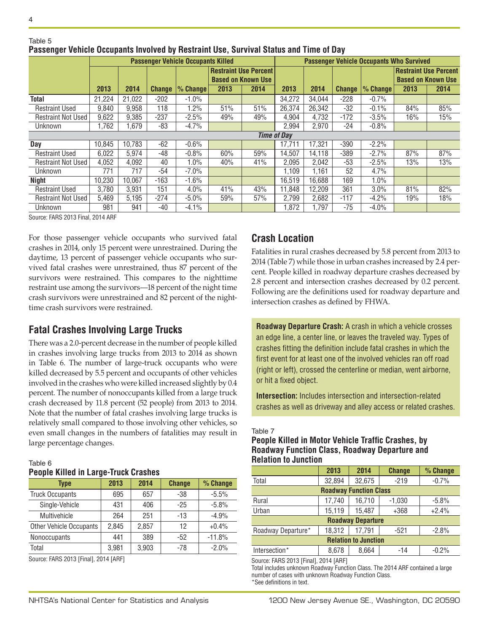Table 5

|                           | <b>Passenger Vehicle Occupants Killed</b> |        |               |            |                           |                              | <b>Passenger Vehicle Occupants Who Survived</b> |        |               |            |                                                           |      |
|---------------------------|-------------------------------------------|--------|---------------|------------|---------------------------|------------------------------|-------------------------------------------------|--------|---------------|------------|-----------------------------------------------------------|------|
|                           |                                           |        |               |            | <b>Based on Known Use</b> | <b>Restraint Use Percent</b> |                                                 |        |               |            | <b>Restraint Use Percent</b><br><b>Based on Known Use</b> |      |
|                           | 2013                                      | 2014   | <b>Change</b> | $%$ Change | 2013                      | 2014                         | 2013                                            | 2014   | <b>Change</b> | $%$ Change | 2013                                                      | 2014 |
| <b>Total</b>              | 21,224                                    | 21,022 | $-202$        | $-1.0%$    |                           |                              | 34,272                                          | 34,044 | $-228$        | $-0.7%$    |                                                           |      |
| <b>Restraint Used</b>     | 9,840                                     | 9,958  | 118           | 1.2%       | 51%                       | 51%                          | 26,374                                          | 26,342 | $-32$         | $-0.1%$    | 84%                                                       | 85%  |
| <b>Restraint Not Used</b> | 9,622                                     | 9,385  | $-237$        | $-2.5%$    | 49%                       | 49%                          | 4,904                                           | 4.732  | $-172$        | $-3.5%$    | 16%                                                       | 15%  |
| Unknown                   | 1.762                                     | 1,679  | -83           | $-4.7%$    |                           |                              | 2,994                                           | 2,970  | $-24$         | $-0.8%$    |                                                           |      |
|                           |                                           |        |               |            |                           | <b>Time of Day</b>           |                                                 |        |               |            |                                                           |      |
| Dav                       | 10,845                                    | 10,783 | $-62$         | $-0.6%$    |                           |                              | 17,711                                          | 17.321 | $-390$        | $-2.2%$    |                                                           |      |
| <b>Restraint Used</b>     | 6,022                                     | 5,974  | -48           | $-0.8%$    | 60%                       | 59%                          | 14,507                                          | 14.118 | $-389$        | $-2.7%$    | 87%                                                       | 87%  |
| <b>Restraint Not Used</b> | 4,052                                     | 4.092  | 40            | 1.0%       | 40%                       | 41%                          | 2.095                                           | 2,042  | $-53$         | $-2.5%$    | 13%                                                       | 13%  |
| Unknown                   | 771                                       | 717    | $-54$         | $-7.0%$    |                           |                              | 1.109                                           | 1.161  | 52            | 4.7%       |                                                           |      |
| <b>Night</b>              | 10,230                                    | 10.067 | $-163$        | $-1.6%$    |                           |                              | 16,519                                          | 16.688 | 169           | 1.0%       |                                                           |      |
| <b>Restraint Used</b>     | 3,780                                     | 3,931  | 151           | 4.0%       | 41%                       | 43%                          | 11,848                                          | 12,209 | 361           | 3.0%       | 81%                                                       | 82%  |
| <b>Restraint Not Used</b> | 5,469                                     | 5,195  | $-274$        | $-5.0%$    | 59%                       | 57%                          | 2.799                                           | 2,682  | $-117$        | $-4.2%$    | 19%                                                       | 18%  |
| Unknown                   | 981                                       | 941    | -40           | $-4.1%$    |                           |                              | ,872                                            | 1.797  | $-75$         | $-4.0%$    |                                                           |      |

## **Passenger Vehicle Occupants Involved by Restraint Use, Survival Status and Time of Day**

Source: FARS 2013 Final, 2014 ARF

For those passenger vehicle occupants who survived fatal crashes in 2014, only 15 percent were unrestrained. During the daytime, 13 percent of passenger vehicle occupants who survived fatal crashes were unrestrained, thus 87 percent of the survivors were restrained. This compares to the nighttime restraint use among the survivors—18 percent of the night time crash survivors were unrestrained and 82 percent of the nighttime crash survivors were restrained.

# **Fatal Crashes Involving Large Trucks**

There was a 2.0-percent decrease in the number of people killed in crashes involving large trucks from 2013 to 2014 as shown in Table 6. The number of large-truck occupants who were killed decreased by 5.5 percent and occupants of other vehicles involved in the crashes who were killed increased slightly by 0.4 percent. The number of nonoccupants killed from a large truck crash decreased by 11.8 percent (52 people) from 2013 to 2014. Note that the number of fatal crashes involving large trucks is relatively small compared to those involving other vehicles, so even small changes in the numbers of fatalities may result in large percentage changes.

### Table 6 **People Killed in Large-Truck Crashes**

| <b>Type</b>                    | 2013  | 2014  | <b>Change</b> | % Change |
|--------------------------------|-------|-------|---------------|----------|
| <b>Truck Occupants</b>         | 695   | 657   | $-38$         | $-5.5%$  |
| Single-Vehicle                 | 431   | 406   | $-25$         | $-5.8%$  |
| Multivehicle                   | 264   | 251   | $-13$         | $-4.9%$  |
| <b>Other Vehicle Occupants</b> | 2.845 | 2,857 | 12            | $+0.4%$  |
| Nonoccupants                   | 441   | 389   | $-52$         | $-11.8%$ |
| Total                          | 3.981 | 3,903 | $-78$         | $-2.0%$  |

Source: FARS 2013 [Final], 2014 [ARF]

# **Crash Location**

Fatalities in rural crashes decreased by 5.8 percent from 2013 to 2014 (Table 7) while those in urban crashes increased by 2.4 percent. People killed in roadway departure crashes decreased by 2.8 percent and intersection crashes decreased by 0.2 percent. Following are the definitions used for roadway departure and intersection crashes as defined by FHWA.

**Roadway Departure Crash:** A crash in which a vehicle crosses an edge line, a center line, or leaves the traveled way. Types of crashes fitting the definition include fatal crashes in which the first event for at least one of the involved vehicles ran off road (right or left), crossed the centerline or median, went airborne, or hit a fixed object.

**Intersection:** Includes intersection and intersection-related crashes as well as driveway and alley access or related crashes.

### Table 7

## **People Killed in Motor Vehicle Traffic Crashes, by Roadway Function Class, Roadway Departure and Relation to Junction**

|                               | 2013   | 2014   | <b>Change</b> | % Change |  |  |  |  |  |
|-------------------------------|--------|--------|---------------|----------|--|--|--|--|--|
| Total                         | 32,894 | 32,675 | $-219$        | $-0.7%$  |  |  |  |  |  |
| <b>Roadway Function Class</b> |        |        |               |          |  |  |  |  |  |
| Rural                         | 17,740 | 16,710 | $-1,030$      | $-5.8%$  |  |  |  |  |  |
| Urban                         | 15,119 | 15,487 | $+368$        | $+2.4%$  |  |  |  |  |  |
| <b>Roadway Departure</b>      |        |        |               |          |  |  |  |  |  |
| Roadway Departure*            | 18,312 | 17,791 | $-521$        | $-2.8%$  |  |  |  |  |  |
| <b>Relation to Junction</b>   |        |        |               |          |  |  |  |  |  |
| Intersection*                 | 8,678  | 8.664  | -14           | $-0.2%$  |  |  |  |  |  |

Source: FARS 2013 [Final], 2014 [ARF]

Total includes unknown Roadway Function Class. The 2014 ARF contained a large number of cases with unknown Roadway Function Class. \*See definitions in text.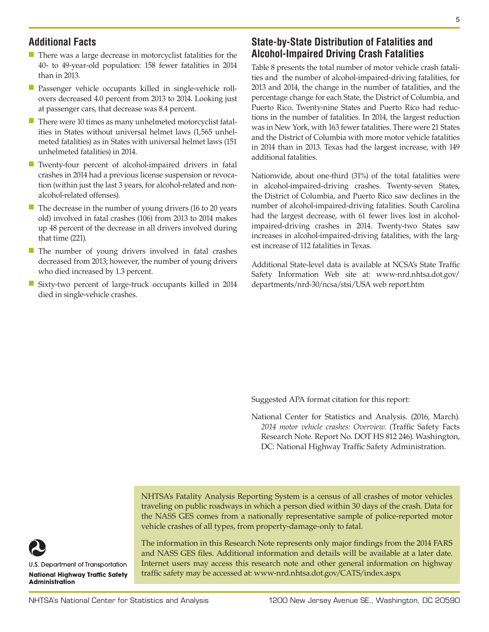- There was a large decrease in motorcyclist fatalities for the 40- to 49-year-old population: 158 fewer fatalities in 2014 than in 2013.
- Passenger vehicle occupants killed in single-vehicle rollovers decreased 4.0 percent from 2013 to 2014. Looking just at passenger cars, that decrease was 8.4 percent.
- There were 10 times as many unhelmeted motorcyclist fatalities in States without universal helmet laws (1,565 unhelmeted fatalities) as in States with universal helmet laws (151 unhelmeted fatalities) in 2014.
- Twenty-four percent of alcohol-impaired drivers in fatal crashes in 2014 had a previous license suspension or revocation (within just the last 3 years, for alcohol-related and nonalcohol-related offenses).
- The decrease in the number of young drivers (16 to 20 years old) involved in fatal crashes (106) from 2013 to 2014 makes up 48 percent of the decrease in all drivers involved during that time (221).
- The number of young drivers involved in fatal crashes decreased from 2013; however, the number of young drivers who died increased by 1.3 percent.
- Sixty-two percent of large-truck occupants killed in 2014 died in single-vehicle crashes.

# **State-by-State Distribution of Fatalities and Alcohol-Impaired Driving Crash Fatalities**

Table 8 presents the total number of motor vehicle crash fatalities and the number of alcohol-impaired-driving fatalities, for 2013 and 2014, the change in the number of fatalities, and the percentage change for each State, the District of Columbia, and Puerto Rico. Twenty-nine States and Puerto Rico had reductions in the number of fatalities. In 2014, the largest reduction was in New York, with 163 fewer fatalities. There were 21 States and the District of Columbia with more motor vehicle fatalities in 2014 than in 2013. Texas had the largest increase, with 149 additional fatalities.

Nationwide, about one-third (31%) of the total fatalities were in alcohol-impaired-driving crashes. Twenty-seven States, the District of Columbia, and Puerto Rico saw declines in the number of alcohol-impaired-driving fatalities. South Carolina had the largest decrease, with 61 fewer lives lost in alcoholimpaired-driving crashes in 2014. Twenty-two States saw increases in alcohol-impaired-driving fatalities, with the largest increase of 112 fatalities in Texas.

Additional State-level data is available at NCSA's State Traffic Safety Information Web site at: [www-nrd.nhtsa.dot.gov/](http://www-nrd.nhtsa.dot.gov/departments/nrd-30/ncsa/stsi/USA%20web%20report.htm) [departments/nrd-30/ncsa/stsi/USA web report.htm](http://www-nrd.nhtsa.dot.gov/departments/nrd-30/ncsa/stsi/USA%20web%20report.htm)

Suggested APA format citation for this report:

National Center for Statistics and Analysis. (2016, March). *2014 motor vehicle crashes: Overview.* (Traffic Safety Facts Research Note. Report No. DOT HS 812 246). Washington, DC: National Highway Traffic Safety Administration.

NHTSA's Fatality Analysis Reporting System is a census of all crashes of motor vehicles traveling on public roadways in which a person died within 30 days of the crash. Data for the NASS GES comes from a nationally representative sample of police-reported motor vehicle crashes of all types, from property-damage-only to fatal.

The information in this Research Note represents only major findings from the 2014 FARS and NASS GES files. Additional information and details will be available at a later date. Internet users may access this research note and other general information on highway traffic safety may be accessed at: [www-nrd.nhtsa.dot.gov/CATS/index.aspx](http://www-nrd.nhtsa.dot.gov/CATS/index.aspx)

U.S. Department of Transportation **National Highway Traffic Safety Administration**